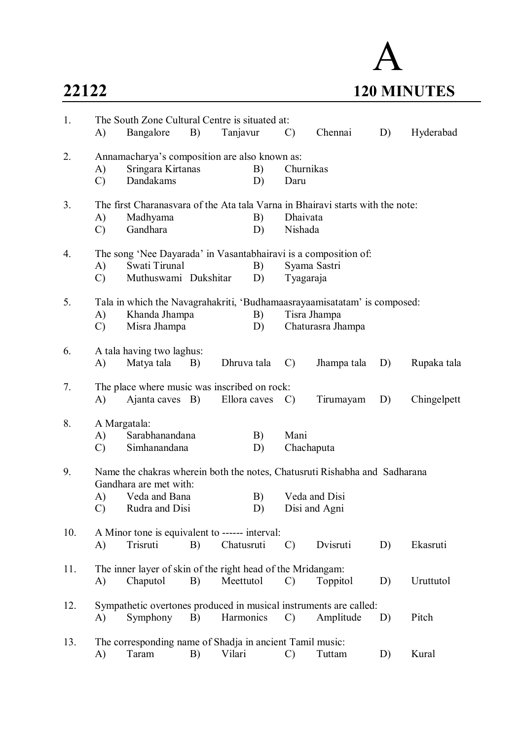

| 1.  | The South Zone Cultural Centre is situated at:                           |                                                             |    |             |              |                   |                                                                                |    |             |  |
|-----|--------------------------------------------------------------------------|-------------------------------------------------------------|----|-------------|--------------|-------------------|--------------------------------------------------------------------------------|----|-------------|--|
|     | A)                                                                       | Bangalore                                                   | B) | Tanjavur    |              | $\mathcal{C}$     | Chennai                                                                        | D) | Hyderabad   |  |
| 2.  |                                                                          | Annamacharya's composition are also known as:               |    |             |              |                   |                                                                                |    |             |  |
|     | A)                                                                       | Sringara Kirtanas                                           |    |             | B)           | Churnikas         |                                                                                |    |             |  |
|     | $\mathcal{C}$                                                            | Dandakams                                                   |    |             | D)           | Daru              |                                                                                |    |             |  |
| 3.  |                                                                          |                                                             |    |             |              |                   | The first Charanasvara of the Ata tala Varna in Bhairavi starts with the note: |    |             |  |
|     | A)                                                                       | Madhyama                                                    |    |             | B)           | Dhaivata          |                                                                                |    |             |  |
|     | $\mathcal{C}$                                                            | Gandhara                                                    |    |             | D)           | Nishada           |                                                                                |    |             |  |
| 4.  |                                                                          |                                                             |    |             |              |                   | The song 'Nee Dayarada' in Vasantabhairavi is a composition of:                |    |             |  |
|     | A)                                                                       | Swati Tirunal                                               |    |             | B)           |                   | Syama Sastri                                                                   |    |             |  |
|     | $\mathcal{C}$                                                            | Muthuswami Dukshitar                                        |    |             | D)           | Tyagaraja         |                                                                                |    |             |  |
| 5.  | Tala in which the Navagrahakriti, 'Budhamaasrayaamisatatam' is composed: |                                                             |    |             |              |                   |                                                                                |    |             |  |
|     | A)                                                                       | Khanda Jhampa                                               |    |             | B)           |                   | Tisra Jhampa                                                                   |    |             |  |
|     | $\mathcal{C}$                                                            | Misra Jhampa                                                |    | D)          |              | Chaturasra Jhampa |                                                                                |    |             |  |
|     |                                                                          |                                                             |    |             |              |                   |                                                                                |    |             |  |
| 6.  |                                                                          | A tala having two laghus:                                   |    | Dhruva tala |              |                   |                                                                                |    |             |  |
|     | A)                                                                       | Matya tala B)                                               |    |             |              | $\mathcal{C}$     | Jhampa tala                                                                    | D) | Rupaka tala |  |
| 7.  |                                                                          | The place where music was inscribed on rock:                |    |             |              |                   |                                                                                |    |             |  |
|     | A)                                                                       | Ajanta caves B)                                             |    |             | Ellora caves | $\mathcal{C}$     | Tirumayam                                                                      | D) | Chingelpett |  |
| 8.  |                                                                          | A Margatala:                                                |    |             |              |                   |                                                                                |    |             |  |
|     | A)                                                                       | Sarabhanandana                                              |    |             | B)           | Mani              |                                                                                |    |             |  |
|     | $\mathcal{C}$                                                            | Simhanandana                                                |    |             | D)           | Chachaputa        |                                                                                |    |             |  |
| 9.  |                                                                          |                                                             |    |             |              |                   | Name the chakras wherein both the notes, Chatusruti Rishabha and Sadharana     |    |             |  |
|     |                                                                          | Gandhara are met with:                                      |    |             |              |                   |                                                                                |    |             |  |
|     | A)                                                                       | Veda and Bana                                               |    |             | B)           | Veda and Disi     |                                                                                |    |             |  |
|     | $\mathcal{C}$                                                            | Rudra and Disi                                              |    |             | D)           |                   | Disi and Agni                                                                  |    |             |  |
| 10. |                                                                          | A Minor tone is equivalent to ------ interval:              |    |             |              |                   |                                                                                |    |             |  |
|     | A)                                                                       | Trisruti                                                    | B) | Chatusruti  |              | $\mathcal{C}$     | Dvisruti                                                                       | D) | Ekasruti    |  |
|     |                                                                          |                                                             |    |             |              |                   |                                                                                |    |             |  |
| 11. |                                                                          | The inner layer of skin of the right head of the Mridangam: |    |             |              |                   |                                                                                |    |             |  |
|     | A)                                                                       | Chaputol                                                    | B) | Meettutol   |              | $\mathcal{C}$     | Toppitol                                                                       | D) | Uruttutol   |  |
| 12. |                                                                          |                                                             |    |             |              |                   | Sympathetic overtones produced in musical instruments are called:              |    |             |  |
|     | A)                                                                       | Symphony                                                    | B) | Harmonics   |              | $\mathcal{C}$     | Amplitude                                                                      | D) | Pitch       |  |
|     |                                                                          |                                                             |    |             |              |                   |                                                                                |    |             |  |
| 13. |                                                                          | The corresponding name of Shadja in ancient Tamil music:    |    |             |              |                   |                                                                                |    |             |  |
|     | A)                                                                       | Taram                                                       | B) | Vilari      |              | $\mathcal{C}$     | Tuttam                                                                         | D) | Kural       |  |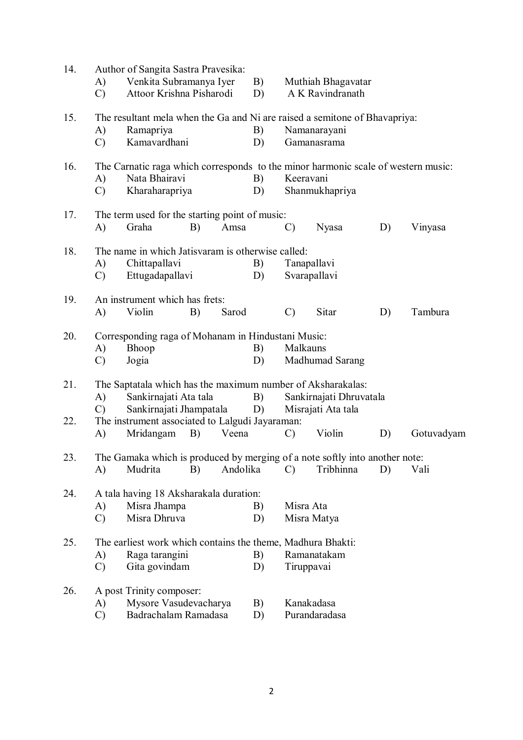| 14. | A)<br>$\mathcal{C}$ | Author of Sangita Sastra Pravesika:<br>Venkita Subramanya Iyer<br>Attoor Krishna Pisharodi         |    |          | B)<br>D) | Muthiah Bhagavatar<br>A K Ravindranath |                |    |            |  |  |
|-----|---------------------|----------------------------------------------------------------------------------------------------|----|----------|----------|----------------------------------------|----------------|----|------------|--|--|
| 15. |                     | The resultant mela when the Ga and Ni are raised a semitone of Bhavapriya:                         |    |          |          |                                        |                |    |            |  |  |
|     | A)                  | Ramapriya                                                                                          |    |          | B)       |                                        | Namanarayani   |    |            |  |  |
|     | $\mathcal{C}$       | Kamavardhani                                                                                       |    |          | D)       |                                        | Gamanasrama    |    |            |  |  |
| 16. | A)                  | The Carnatic raga which corresponds to the minor harmonic scale of western music:<br>Nata Bhairavi |    |          | B)       | Keeravani                              |                |    |            |  |  |
|     | $\mathcal{C}$       | Kharaharapriya                                                                                     |    |          | D)       |                                        | Shanmukhapriya |    |            |  |  |
| 17. |                     | The term used for the starting point of music:                                                     |    |          |          |                                        |                |    |            |  |  |
|     | A)                  | Graha                                                                                              | B) | Amsa     |          | C)                                     | Nyasa          | D) | Vinyasa    |  |  |
| 18. |                     | The name in which Jatisvaram is otherwise called:                                                  |    |          |          |                                        |                |    |            |  |  |
|     | A)                  | Chittapallavi                                                                                      |    |          | B)       | Tanapallavi                            |                |    |            |  |  |
|     | C)                  | Ettugadapallavi                                                                                    |    |          | D)       |                                        | Svarapallavi   |    |            |  |  |
| 19. | A)                  | An instrument which has frets:<br>Violin                                                           | B) | Sarod    |          | $\mathcal{C}$                          | Sitar          | D) | Tambura    |  |  |
|     |                     |                                                                                                    |    |          |          |                                        |                |    |            |  |  |
| 20. | A)                  | Corresponding raga of Mohanam in Hindustani Music:<br>Bhoop                                        |    | B)       | Malkauns |                                        |                |    |            |  |  |
|     | $\mathcal{C}$       | Jogia                                                                                              |    | D)       |          | Madhumad Sarang                        |                |    |            |  |  |
|     |                     |                                                                                                    |    |          |          |                                        |                |    |            |  |  |
| 21. |                     | The Saptatala which has the maximum number of Aksharakalas:                                        |    |          |          |                                        |                |    |            |  |  |
|     | A)<br>$\mathcal{C}$ | Sankirnajati Ata tala                                                                              |    |          | B)       | Sankirnajati Dhruvatala                |                |    |            |  |  |
| 22. |                     | Sankirnajati Jhampatala<br>The instrument associated to Lalgudi Jayaraman:                         |    |          | D)       | Misrajati Ata tala                     |                |    |            |  |  |
|     | A)                  | Mridangam                                                                                          | B) | Veena    |          | $\mathcal{C}$                          | Violin         | D) | Gotuvadyam |  |  |
| 23. |                     | The Gamaka which is produced by merging of a note softly into another note:                        |    |          |          |                                        |                |    |            |  |  |
|     | A)                  | Mudrita                                                                                            | B) | Andolika |          | $\mathcal{C}$                          | Tribhinna      | D) | Vali       |  |  |
|     |                     |                                                                                                    |    |          |          |                                        |                |    |            |  |  |
| 24. |                     | A tala having 18 Aksharakala duration:                                                             |    |          |          |                                        |                |    |            |  |  |
|     | A)                  | Misra Jhampa<br>Misra Dhruva                                                                       |    |          | B)       | Misra Ata                              | Misra Matya    |    |            |  |  |
|     | $\mathcal{C}$       |                                                                                                    |    |          | D)       |                                        |                |    |            |  |  |
| 25. |                     | The earliest work which contains the theme, Madhura Bhakti:                                        |    |          |          |                                        |                |    |            |  |  |
|     | A)                  | Raga tarangini                                                                                     |    |          | B)       |                                        | Ramanatakam    |    |            |  |  |
|     | $\mathcal{C}$       | Gita govindam                                                                                      |    |          | D)       | Tiruppavai                             |                |    |            |  |  |
| 26. |                     | A post Trinity composer:                                                                           |    |          |          |                                        |                |    |            |  |  |
|     | A)                  | Mysore Vasudevacharya                                                                              |    |          | B)       | Kanakadasa                             |                |    |            |  |  |
|     | $\mathcal{C}$       | Badrachalam Ramadasa                                                                               |    |          | D)       |                                        | Purandaradasa  |    |            |  |  |
|     |                     |                                                                                                    |    |          |          |                                        |                |    |            |  |  |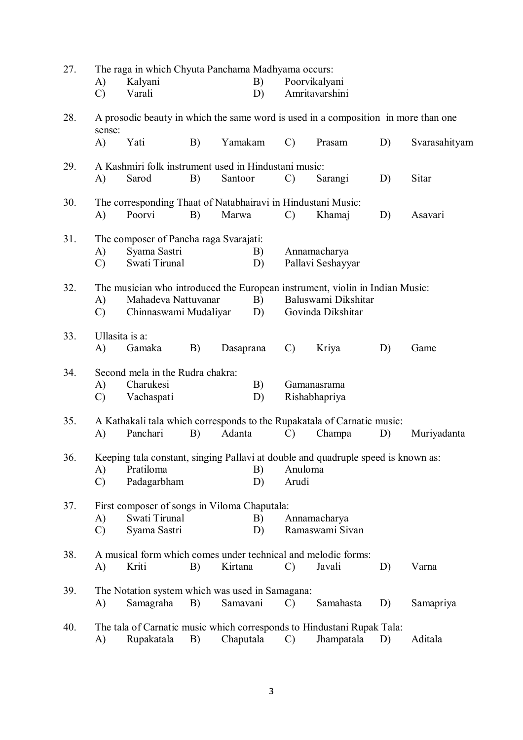| 27. |                                                                                                     | The raga in which Chyuta Panchama Madhyama occurs:                                 |    |          |           |               |                     |    |               |  |  |  |  |
|-----|-----------------------------------------------------------------------------------------------------|------------------------------------------------------------------------------------|----|----------|-----------|---------------|---------------------|----|---------------|--|--|--|--|
|     | A)                                                                                                  | Kalyani                                                                            |    |          | B)        |               | Poorvikalyani       |    |               |  |  |  |  |
|     | $\mathcal{C}$                                                                                       | Varali                                                                             |    |          | D)        |               | Amritavarshini      |    |               |  |  |  |  |
| 28. | sense:                                                                                              | A prosodic beauty in which the same word is used in a composition in more than one |    |          |           |               |                     |    |               |  |  |  |  |
|     | A)                                                                                                  | Yati                                                                               | B) |          | Yamakam   | $\mathcal{C}$ | Prasam              | D) | Svarasahityam |  |  |  |  |
| 29. |                                                                                                     | A Kashmiri folk instrument used in Hindustani music:                               |    |          |           |               |                     |    |               |  |  |  |  |
|     | A)                                                                                                  | Sarod                                                                              | B) | Santoor  |           | $\mathcal{C}$ | Sarangi             | D) | Sitar         |  |  |  |  |
| 30. |                                                                                                     | The corresponding Thaat of Natabhairavi in Hindustani Music:                       |    |          |           |               |                     |    |               |  |  |  |  |
|     | A)                                                                                                  | Poorvi                                                                             | B) | Marwa    |           | $\mathcal{C}$ | Khamaj              | D) | Asavari       |  |  |  |  |
| 31. |                                                                                                     | The composer of Pancha raga Svarajati:<br>B)                                       |    |          |           |               |                     |    |               |  |  |  |  |
|     | A)                                                                                                  | Syama Sastri                                                                       |    |          |           |               | Annamacharya        |    |               |  |  |  |  |
|     | $\mathcal{C}$                                                                                       | Swati Tirunal                                                                      |    |          | D)        |               | Pallavi Seshayyar   |    |               |  |  |  |  |
| 32. | The musician who introduced the European instrument, violin in Indian Music:<br>Mahadeva Nattuvanar |                                                                                    |    |          |           |               |                     |    |               |  |  |  |  |
|     | A)                                                                                                  |                                                                                    |    |          | B)        |               | Baluswami Dikshitar |    |               |  |  |  |  |
|     | $\mathcal{C}$                                                                                       | Chinnaswami Mudaliyar                                                              |    |          | D)        |               | Govinda Dikshitar   |    |               |  |  |  |  |
| 33. |                                                                                                     | Ullasita is a:                                                                     |    |          |           |               |                     |    |               |  |  |  |  |
|     | A)                                                                                                  | Gamaka                                                                             | B) |          | Dasaprana | $\mathcal{C}$ | Kriya               | D) | Game          |  |  |  |  |
| 34. |                                                                                                     | Second mela in the Rudra chakra:                                                   |    |          |           |               |                     |    |               |  |  |  |  |
|     | A)                                                                                                  | Charukesi                                                                          |    | B)       |           | Gamanasrama   |                     |    |               |  |  |  |  |
|     | $\mathcal{C}$                                                                                       | Vachaspati                                                                         |    |          | D)        |               | Rishabhapriya       |    |               |  |  |  |  |
| 35. | A Kathakali tala which corresponds to the Rupakatala of Carnatic music:                             |                                                                                    |    |          |           |               |                     |    |               |  |  |  |  |
|     | A)                                                                                                  | Panchari                                                                           | B) | Adanta   |           | $\mathcal{C}$ | Champa              | D) | Muriyadanta   |  |  |  |  |
| 36. |                                                                                                     | Keeping tala constant, singing Pallavi at double and quadruple speed is known as:  |    |          |           |               |                     |    |               |  |  |  |  |
|     | A)                                                                                                  | Pratiloma                                                                          |    |          | B)        | Anuloma       |                     |    |               |  |  |  |  |
|     | $\mathcal{C}$                                                                                       | Padagarbham                                                                        |    |          | D)        | Arudi         |                     |    |               |  |  |  |  |
| 37. |                                                                                                     | First composer of songs in Viloma Chaputala:                                       |    |          |           |               |                     |    |               |  |  |  |  |
|     | A)                                                                                                  | Swati Tirunal                                                                      |    |          | B)        |               | Annamacharya        |    |               |  |  |  |  |
|     | $\mathcal{C}$                                                                                       | Syama Sastri                                                                       |    |          | D)        |               | Ramaswami Sivan     |    |               |  |  |  |  |
| 38. |                                                                                                     | A musical form which comes under technical and melodic forms:                      |    |          |           |               |                     |    |               |  |  |  |  |
|     | A)                                                                                                  | Kriti                                                                              | B) | Kirtana  |           | $\mathcal{C}$ | Javali              | D) | Varna         |  |  |  |  |
| 39. |                                                                                                     | The Notation system which was used in Samagana:                                    |    |          |           |               |                     |    |               |  |  |  |  |
|     | A)                                                                                                  | Samagraha                                                                          | B) | Samavani |           | $\mathcal{C}$ | Samahasta           | D) | Samapriya     |  |  |  |  |
| 40. |                                                                                                     | The tala of Carnatic music which corresponds to Hindustani Rupak Tala:             |    |          |           |               |                     |    |               |  |  |  |  |
|     | A)                                                                                                  | Rupakatala                                                                         | B) |          | Chaputala | $\mathcal{C}$ | Jhampatala          | D) | Aditala       |  |  |  |  |
|     |                                                                                                     |                                                                                    |    |          |           |               |                     |    |               |  |  |  |  |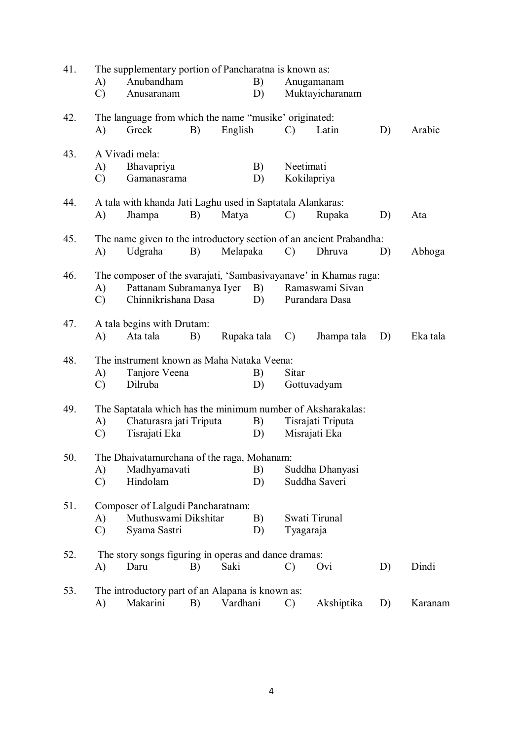| 41. | The supplementary portion of Pancharatna is known as:       |                                                                     |    |             |          |               |                    |    |          |  |  |  |
|-----|-------------------------------------------------------------|---------------------------------------------------------------------|----|-------------|----------|---------------|--------------------|----|----------|--|--|--|
|     | A)                                                          | Anubandham                                                          |    |             | B)       |               | Anugamanam         |    |          |  |  |  |
|     | $\mathcal{C}$                                               | Anusaranam                                                          |    |             | D)       |               | Muktayicharanam    |    |          |  |  |  |
| 42. |                                                             | The language from which the name "musike" originated:               |    |             |          |               |                    |    |          |  |  |  |
|     | A)                                                          | Greek                                                               | B) | English     |          | $\mathcal{C}$ | Latin              | D) | Arabic   |  |  |  |
| 43. |                                                             | A Vivadi mela:                                                      |    |             |          |               |                    |    |          |  |  |  |
|     | A)                                                          | Bhavapriya                                                          |    |             | B)       | Neetimati     |                    |    |          |  |  |  |
|     | $\mathcal{C}$                                               | Gamanasrama                                                         |    |             | D)       |               | Kokilapriya        |    |          |  |  |  |
| 44. |                                                             | A tala with khanda Jati Laghu used in Saptatala Alankaras:          |    |             |          |               |                    |    |          |  |  |  |
|     | A)                                                          | Jhampa                                                              | B) | Matya       |          | $\mathcal{C}$ | Rupaka             | D) | Ata      |  |  |  |
| 45. |                                                             | The name given to the introductory section of an ancient Prabandha: |    |             |          |               |                    |    |          |  |  |  |
|     | A)                                                          | Udgraha                                                             | B) |             | Melapaka | $\mathcal{C}$ | Dhruva             | D) | Abhoga   |  |  |  |
| 46. |                                                             | The composer of the svarajati, 'Sambasivayanave' in Khamas raga:    |    |             |          |               |                    |    |          |  |  |  |
|     | A)                                                          | Pattanam Subramanya Iyer                                            |    |             |          |               | B) Ramaswami Sivan |    |          |  |  |  |
|     | $\mathcal{C}$                                               | Chinnikrishana Dasa                                                 |    |             | D)       |               | Purandara Dasa     |    |          |  |  |  |
| 47. |                                                             | A tala begins with Drutam:                                          |    |             |          |               |                    |    |          |  |  |  |
|     | A)                                                          | Ata tala                                                            | B) | Rupaka tala |          | $\mathbf{C}$  | Jhampa tala        | D) | Eka tala |  |  |  |
| 48. | The instrument known as Maha Nataka Veena:                  |                                                                     |    |             |          |               |                    |    |          |  |  |  |
|     | A)                                                          | Tanjore Veena                                                       |    |             | B)       | Sitar         |                    |    |          |  |  |  |
|     | $\mathcal{C}$                                               | Dilruba                                                             |    |             | D)       |               | Gottuvadyam        |    |          |  |  |  |
| 49. | The Saptatala which has the minimum number of Aksharakalas: |                                                                     |    |             |          |               |                    |    |          |  |  |  |
|     | A)                                                          | Chaturasra jati Triputa                                             |    |             | B)       |               | Tisrajati Triputa  |    |          |  |  |  |
|     | $\mathcal{C}$                                               | Tisrajati Eka                                                       |    |             | D)       |               | Misrajati Eka      |    |          |  |  |  |
| 50. | The Dhaivatamurchana of the raga, Mohanam:                  |                                                                     |    |             |          |               |                    |    |          |  |  |  |
|     | A)                                                          | Madhyamavati                                                        |    |             | B)       |               | Suddha Dhanyasi    |    |          |  |  |  |
|     | $\mathcal{C}$                                               | Hindolam                                                            |    |             | D)       |               | Suddha Saveri      |    |          |  |  |  |
| 51. |                                                             | Composer of Lalgudi Pancharatnam:                                   |    |             |          |               |                    |    |          |  |  |  |
|     | A)                                                          | Muthuswami Dikshitar                                                |    |             | B)       |               | Swati Tirunal      |    |          |  |  |  |
|     | $\mathcal{C}$                                               | Syama Sastri                                                        |    |             | D)       | Tyagaraja     |                    |    |          |  |  |  |
| 52. |                                                             | The story songs figuring in operas and dance dramas:                |    |             |          |               |                    |    |          |  |  |  |
|     | A)                                                          | Daru                                                                | B) | Saki        |          | $\mathcal{C}$ | Ovi                | D) | Dindi    |  |  |  |
| 53. | The introductory part of an Alapana is known as:            |                                                                     |    |             |          |               |                    |    |          |  |  |  |
|     | A)                                                          | Makarini                                                            | B) | Vardhani    |          | C)            | Akshiptika         | D) | Karanam  |  |  |  |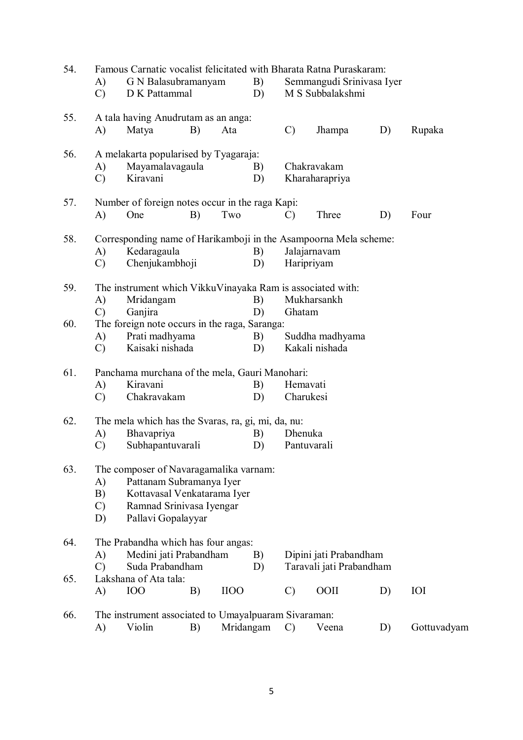| 54. | Famous Carnatic vocalist felicitated with Bharata Ratna Puraskaram: |                                                                  |    |             |           |                        |                           |    |             |  |  |  |  |
|-----|---------------------------------------------------------------------|------------------------------------------------------------------|----|-------------|-----------|------------------------|---------------------------|----|-------------|--|--|--|--|
|     | A)                                                                  | G N Balasubramanyam                                              |    |             | B)        |                        | Semmangudi Srinivasa Iyer |    |             |  |  |  |  |
|     | $\mathcal{C}$                                                       | D K Pattammal                                                    |    |             | D)        |                        | M S Subbalakshmi          |    |             |  |  |  |  |
| 55. |                                                                     | A tala having Anudrutam as an anga:                              |    |             |           |                        |                           |    |             |  |  |  |  |
|     | A)                                                                  | Matya                                                            | B) | Ata         |           | $\mathcal{C}$          | Jhampa                    | D) | Rupaka      |  |  |  |  |
| 56. |                                                                     | A melakarta popularised by Tyagaraja:                            |    |             |           |                        |                           |    |             |  |  |  |  |
|     | A)                                                                  | Mayamalavagaula                                                  |    |             | B)        |                        | Chakravakam               |    |             |  |  |  |  |
|     | $\mathcal{C}$                                                       | Kiravani                                                         |    |             | D)        |                        | Kharaharapriya            |    |             |  |  |  |  |
| 57. |                                                                     | Number of foreign notes occur in the raga Kapi:                  |    |             |           |                        |                           |    |             |  |  |  |  |
|     | A)                                                                  | One                                                              | B) | Two         |           | $\mathcal{C}$          | Three                     | D) | Four        |  |  |  |  |
| 58. |                                                                     | Corresponding name of Harikamboji in the Asampoorna Mela scheme: |    |             |           |                        |                           |    |             |  |  |  |  |
|     | A)                                                                  | Kedaragaula                                                      |    |             | B)        |                        | Jalajarnavam              |    |             |  |  |  |  |
|     | $\mathcal{C}$                                                       | Chenjukambhoji                                                   |    |             | D)        |                        | Haripriyam                |    |             |  |  |  |  |
| 59. |                                                                     | The instrument which VikkuVinayaka Ram is associated with:       |    |             |           |                        |                           |    |             |  |  |  |  |
|     | A)                                                                  | Mridangam                                                        |    |             | B)        |                        | Mukharsankh               |    |             |  |  |  |  |
|     | $\mathcal{C}$                                                       | Ganjira                                                          |    |             | D)        | Ghatam                 |                           |    |             |  |  |  |  |
| 60. |                                                                     | The foreign note occurs in the raga, Saranga:                    |    |             |           |                        |                           |    |             |  |  |  |  |
|     | A)                                                                  | Prati madhyama                                                   |    |             | B)        |                        | Suddha madhyama           |    |             |  |  |  |  |
|     | $\mathcal{C}$                                                       | Kaisaki nishada                                                  |    |             | D)        |                        | Kakali nishada            |    |             |  |  |  |  |
| 61. |                                                                     | Panchama murchana of the mela, Gauri Manohari:<br>Hemavati       |    |             |           |                        |                           |    |             |  |  |  |  |
|     | A)                                                                  | Kiravani                                                         |    |             | B)        |                        |                           |    |             |  |  |  |  |
|     | $\mathcal{C}$                                                       | Chakravakam                                                      |    |             | D)        |                        | Charukesi                 |    |             |  |  |  |  |
| 62. | The mela which has the Svaras, ra, gi, mi, da, nu:                  |                                                                  |    |             |           |                        |                           |    |             |  |  |  |  |
|     | A)                                                                  | Bhavapriya                                                       |    |             | B)        | Dhenuka                |                           |    |             |  |  |  |  |
|     | $\mathcal{C}$                                                       | Subhapantuvarali                                                 |    |             | D)        |                        | Pantuvarali               |    |             |  |  |  |  |
| 63. | The composer of Navaragamalika varnam:                              |                                                                  |    |             |           |                        |                           |    |             |  |  |  |  |
|     |                                                                     | Pattanam Subramanya Iyer<br>A)                                   |    |             |           |                        |                           |    |             |  |  |  |  |
|     | B)                                                                  | Kottavasal Venkatarama Iyer                                      |    |             |           |                        |                           |    |             |  |  |  |  |
|     | $\mathcal{C}$                                                       | Ramnad Srinivasa Iyengar                                         |    |             |           |                        |                           |    |             |  |  |  |  |
|     | D)                                                                  | Pallavi Gopalayyar                                               |    |             |           |                        |                           |    |             |  |  |  |  |
| 64. |                                                                     | The Prabandha which has four angas:                              |    |             | B)        |                        |                           |    |             |  |  |  |  |
|     | A)                                                                  | Medini jati Prabandham                                           |    |             |           | Dipini jati Prabandham |                           |    |             |  |  |  |  |
|     | $\mathcal{C}$                                                       | Suda Prabandham<br>Lakshana of Ata tala:                         |    |             | D)        |                        | Taravali jati Prabandham  |    |             |  |  |  |  |
| 65. | A)                                                                  | <b>IOO</b>                                                       | B) | <b>IIOO</b> |           |                        | <b>OOII</b>               |    | <b>IOI</b>  |  |  |  |  |
|     |                                                                     |                                                                  |    |             |           | $\mathcal{C}$          |                           | D) |             |  |  |  |  |
| 66. |                                                                     | The instrument associated to Umayalpuaram Sivaraman:             |    |             |           |                        |                           |    |             |  |  |  |  |
|     | A)                                                                  | Violin                                                           | B) |             | Mridangam | $\mathcal{C}$          | Veena                     | D) | Gottuvadyam |  |  |  |  |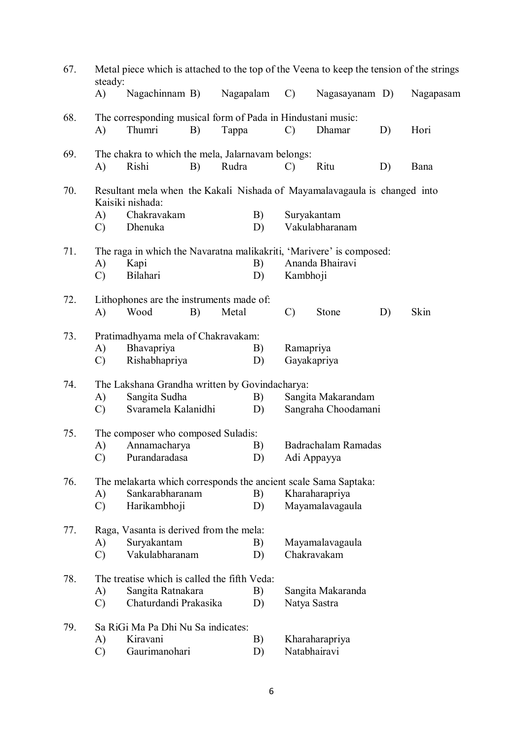| 67. | Metal piece which is attached to the top of the Veena to keep the tension of the strings<br>steady: |                                                             |    |           |                           |                 |                                                                           |    |           |  |  |  |  |
|-----|-----------------------------------------------------------------------------------------------------|-------------------------------------------------------------|----|-----------|---------------------------|-----------------|---------------------------------------------------------------------------|----|-----------|--|--|--|--|
|     | $\bf{A}$                                                                                            | Nagachinnam B)                                              |    | Nagapalam |                           | $\mathcal{C}$   | Nagasayanam D)                                                            |    | Nagapasam |  |  |  |  |
| 68. |                                                                                                     | The corresponding musical form of Pada in Hindustani music: |    |           |                           |                 |                                                                           |    |           |  |  |  |  |
|     | A)                                                                                                  | Thumri                                                      | B) | Tappa     |                           | $\mathcal{C}$   | Dhamar                                                                    | D) | Hori      |  |  |  |  |
| 69. |                                                                                                     | The chakra to which the mela, Jalarnavam belongs:           |    | Rudra     |                           |                 |                                                                           |    |           |  |  |  |  |
|     | A)                                                                                                  | Rishi<br>B)                                                 |    |           |                           | $\mathcal{C}$   | Ritu                                                                      | D) | Bana      |  |  |  |  |
| 70. |                                                                                                     | Kaisiki nishada:                                            |    |           |                           |                 | Resultant mela when the Kakali Nishada of Mayamalavagaula is changed into |    |           |  |  |  |  |
|     | A)                                                                                                  | Chakravakam                                                 |    |           | B)<br>Suryakantam         |                 |                                                                           |    |           |  |  |  |  |
|     | $\mathcal{C}$                                                                                       | Dhenuka                                                     |    |           | D)                        |                 | Vakulabharanam                                                            |    |           |  |  |  |  |
| 71. | The raga in which the Navaratna malikakriti, 'Marivere' is composed:                                |                                                             |    |           |                           |                 |                                                                           |    |           |  |  |  |  |
|     | A)                                                                                                  | Kapi                                                        |    |           | B)                        |                 | Ananda Bhairavi                                                           |    |           |  |  |  |  |
|     | $\mathcal{C}$                                                                                       | Bilahari                                                    |    |           | D)                        | Kambhoji        |                                                                           |    |           |  |  |  |  |
| 72. |                                                                                                     | Lithophones are the instruments made of:                    |    |           |                           |                 |                                                                           |    |           |  |  |  |  |
|     | A)                                                                                                  | Wood                                                        | B) | Metal     |                           | $\mathcal{C}$   | Stone                                                                     | D) | Skin      |  |  |  |  |
| 73. |                                                                                                     | Pratimadhyama mela of Chakravakam:                          |    |           |                           |                 |                                                                           |    |           |  |  |  |  |
|     | A)                                                                                                  | Bhavapriya                                                  |    |           | B)                        | Ramapriya       |                                                                           |    |           |  |  |  |  |
|     | $\mathcal{C}$                                                                                       | Rishabhapriya                                               |    |           | D)                        |                 | Gayakapriya                                                               |    |           |  |  |  |  |
| 74. |                                                                                                     | The Lakshana Grandha written by Govindacharya:              |    |           |                           |                 |                                                                           |    |           |  |  |  |  |
|     | A)                                                                                                  | Sangita Sudha                                               |    |           | B)                        |                 | Sangita Makarandam                                                        |    |           |  |  |  |  |
|     | $\mathcal{C}$                                                                                       | Svaramela Kalanidhi                                         |    |           | D)                        |                 | Sangraha Choodamani                                                       |    |           |  |  |  |  |
| 75. | The composer who composed Suladis:                                                                  |                                                             |    |           |                           |                 |                                                                           |    |           |  |  |  |  |
|     | A)                                                                                                  | Annamacharya                                                |    |           | Badrachalam Ramadas<br>B) |                 |                                                                           |    |           |  |  |  |  |
|     | $\mathcal{C}$                                                                                       | Purandaradasa                                               |    |           | D)                        | Adi Appayya     |                                                                           |    |           |  |  |  |  |
| 76. | The melakarta which corresponds the ancient scale Sama Saptaka:                                     |                                                             |    |           |                           |                 |                                                                           |    |           |  |  |  |  |
|     | A)                                                                                                  | Sankarabharanam                                             |    |           | B)<br>Kharaharapriya      |                 |                                                                           |    |           |  |  |  |  |
|     | $\mathcal{C}$                                                                                       | Harikambhoji                                                |    |           | D)                        | Mayamalavagaula |                                                                           |    |           |  |  |  |  |
| 77. | Raga, Vasanta is derived from the mela:                                                             |                                                             |    |           |                           |                 |                                                                           |    |           |  |  |  |  |
|     | A)                                                                                                  | Suryakantam                                                 |    |           | Mayamalavagaula<br>B)     |                 |                                                                           |    |           |  |  |  |  |
|     | $\mathcal{C}$                                                                                       | Vakulabharanam                                              |    |           | Chakravakam<br>D)         |                 |                                                                           |    |           |  |  |  |  |
| 78. |                                                                                                     | The treatise which is called the fifth Veda:                |    |           |                           |                 |                                                                           |    |           |  |  |  |  |
|     | A)                                                                                                  | Sangita Ratnakara                                           |    |           | B)                        |                 | Sangita Makaranda                                                         |    |           |  |  |  |  |
|     | $\mathcal{C}$                                                                                       | Chaturdandi Prakasika                                       |    |           | D)                        | Natya Sastra    |                                                                           |    |           |  |  |  |  |
| 79. |                                                                                                     | Sa RiGi Ma Pa Dhi Nu Sa indicates:                          |    |           |                           |                 |                                                                           |    |           |  |  |  |  |
|     | A)                                                                                                  | Kiravani                                                    |    |           | B)                        | Kharaharapriya  |                                                                           |    |           |  |  |  |  |
|     | $\mathcal{C}$                                                                                       | Gaurimanohari                                               |    |           | D)                        |                 | Natabhairavi                                                              |    |           |  |  |  |  |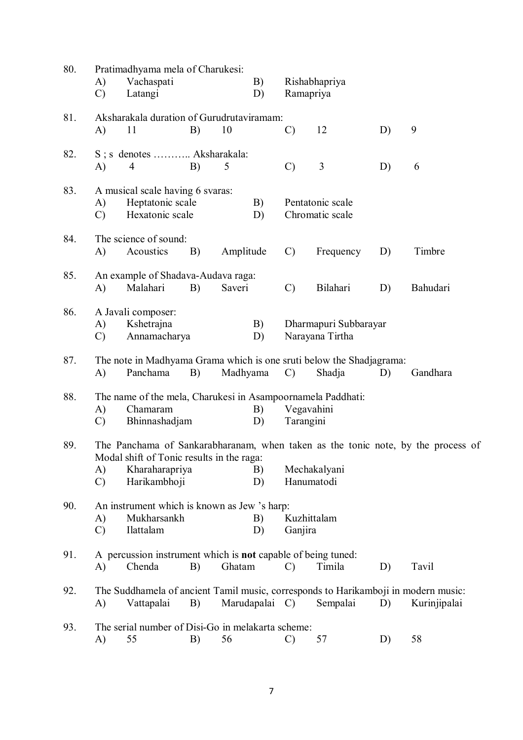| 80. | A)<br>$\mathcal{C}$ | Pratimadhyama mela of Charukesi:<br>Vachaspati<br>Latangi                                        |    |           | B)<br>D)       | Rishabhapriya<br>Ramapriya                                                             |                                          |    |                                                                                  |  |  |
|-----|---------------------|--------------------------------------------------------------------------------------------------|----|-----------|----------------|----------------------------------------------------------------------------------------|------------------------------------------|----|----------------------------------------------------------------------------------|--|--|
| 81. | A)                  | Aksharakala duration of Gurudrutaviramam:<br>11                                                  | B) | 10        |                | $\mathcal{C}$                                                                          | 12                                       | D) | 9                                                                                |  |  |
| 82. | A)                  | S; s denotes  Aksharakala:<br>$\overline{4}$                                                     | B) | 5         |                | $\mathcal{C}$                                                                          | 3                                        | D) | 6                                                                                |  |  |
| 83. | A)<br>$\mathcal{C}$ | A musical scale having 6 svaras:<br>Heptatonic scale<br>Hexatonic scale                          |    |           | B)<br>D)       |                                                                                        | Pentatonic scale<br>Chromatic scale      |    |                                                                                  |  |  |
| 84. | A)                  | The science of sound:<br>Acoustics                                                               | B) | Amplitude |                | $\mathcal{C}$                                                                          | Frequency                                | D) | Timbre                                                                           |  |  |
| 85. | A)                  | An example of Shadava-Audava raga:<br>Malahari                                                   | B) | Saveri    |                | $\mathcal{C}$                                                                          | Bilahari                                 | D) | Bahudari                                                                         |  |  |
| 86. | A)<br>$\mathcal{C}$ | A Javali composer:<br>Kshetrajna<br>Annamacharya                                                 |    |           | B)<br>D)       |                                                                                        | Dharmapuri Subbarayar<br>Narayana Tirtha |    |                                                                                  |  |  |
| 87. | A)                  | The note in Madhyama Grama which is one sruti below the Shadjagrama:<br>Panchama                 | B) | Madhyama  |                | $\mathcal{C}$                                                                          | Shadja                                   | D) | Gandhara                                                                         |  |  |
| 88. | A)<br>$\mathcal{C}$ | Chamaram<br>Bhinnashadjam                                                                        |    |           | B)<br>D)       | The name of the mela, Charukesi in Asampoornamela Paddhati:<br>Vegavahini<br>Tarangini |                                          |    |                                                                                  |  |  |
| 89. | A)<br>$\mathcal{C}$ | Modal shift of Tonic results in the raga:<br>Kharaharapriya<br>Harikambhoji                      |    |           | B)<br>D)       |                                                                                        | Mechakalyani<br>Hanumatodi               |    | The Panchama of Sankarabharanam, when taken as the tonic note, by the process of |  |  |
| 90. | A)<br>$\mathcal{C}$ | An instrument which is known as Jew 's harp:<br>Mukharsankh<br>Ilattalam                         |    |           | B)<br>D)       | Kuzhittalam<br>Ganjira                                                                 |                                          |    |                                                                                  |  |  |
| 91. | A)                  | A percussion instrument which is <b>not</b> capable of being tuned:<br>Chenda                    | B) | Ghatam    |                | $\mathcal{C}$                                                                          | Timila                                   | D) | Tavil                                                                            |  |  |
| 92. | A)                  | The Suddhamela of ancient Tamil music, corresponds to Harikamboji in modern music:<br>Vattapalai | B) |           | Marudapalai C) |                                                                                        | Sempalai                                 | D) | Kurinjipalai                                                                     |  |  |
| 93. | A)                  | The serial number of Disi-Go in melakarta scheme:<br>55                                          | B) | 56        |                | $\mathcal{C}$                                                                          | 57                                       | D) | 58                                                                               |  |  |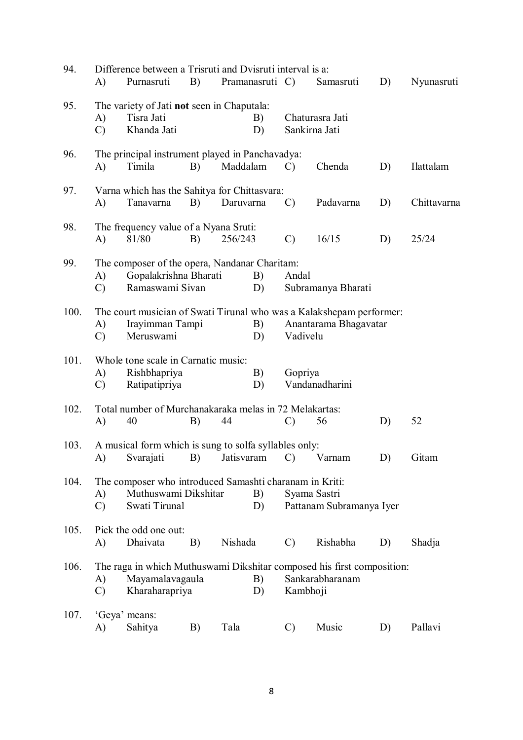| 94.  | A)                  | Difference between a Trisruti and Dvisruti interval is a:<br>Purnasruti                                      | B) | Pramanasruti C) |          |                                          | Samasruti                                                                                     | D) | Nyunasruti  |  |
|------|---------------------|--------------------------------------------------------------------------------------------------------------|----|-----------------|----------|------------------------------------------|-----------------------------------------------------------------------------------------------|----|-------------|--|
| 95.  | A)<br>$\mathcal{C}$ | The variety of Jati not seen in Chaputala:<br>Tisra Jati<br>Khanda Jati                                      |    |                 | B)<br>D) |                                          | Chaturasra Jati<br>Sankirna Jati                                                              |    |             |  |
| 96.  | A)                  | The principal instrument played in Panchavadya:<br>Timila                                                    | B) | Maddalam        |          | $\mathcal{C}$                            | Chenda                                                                                        | D) | Ilattalam   |  |
| 97.  | A)                  | Varna which has the Sahitya for Chittasvara:<br>Tanavarna                                                    | B) | Daruvarna       |          | $\mathcal{C}$                            | Padavarna                                                                                     | D) | Chittavarna |  |
| 98.  | A)                  | The frequency value of a Nyana Sruti:<br>81/80                                                               | B) | 256/243         |          | $\mathcal{C}$                            | 16/15                                                                                         | D) | 25/24       |  |
| 99.  | A)<br>$\mathcal{C}$ | The composer of the opera, Nandanar Charitam:<br>Gopalakrishna Bharati<br>Ramaswami Sivan                    |    |                 | B)<br>D) | Andal                                    | Subramanya Bharati                                                                            |    |             |  |
| 100. | A)<br>$\mathcal{C}$ | Irayimman Tampi<br>Meruswami                                                                                 |    |                 | B)<br>D) | Vadivelu                                 | The court musician of Swati Tirunal who was a Kalakshepam performer:<br>Anantarama Bhagavatar |    |             |  |
| 101. | A)<br>$\mathcal{C}$ | Whole tone scale in Carnatic music:<br>Rishbhapriya<br>Ratipatipriya                                         |    |                 | B)<br>D) | Gopriya                                  | Vandanadharini                                                                                |    |             |  |
| 102. | A)                  | Total number of Murchanakaraka melas in 72 Melakartas:<br>40                                                 | B) | 44              |          | $\mathcal{C}$                            | 56                                                                                            | D) | 52          |  |
| 103. |                     | A musical form which is sung to solfa syllables only:<br>A) Svarajati B) Jatisvaram C) Varnam                |    |                 |          |                                          |                                                                                               | D) | Gitam       |  |
| 104. | A)<br>$\mathcal{C}$ | The composer who introduced Samashti charanam in Kriti:<br>Muthuswami Dikshitar<br>B)<br>Swati Tirunal<br>D) |    |                 |          | Syama Sastri<br>Pattanam Subramanya Iyer |                                                                                               |    |             |  |
| 105. | A)                  | Pick the odd one out:<br>Dhaivata                                                                            | B) | Nishada         |          | $\mathcal{C}$                            | Rishabha                                                                                      | D) | Shadja      |  |
| 106. | A)<br>$\mathcal{C}$ | Mayamalavagaula<br>Kharaharapriya                                                                            |    |                 | B)<br>D) | Kambhoji                                 | The raga in which Muthuswami Dikshitar composed his first composition:<br>Sankarabharanam     |    |             |  |
| 107. | A)                  | 'Geya' means:<br>Sahitya                                                                                     | B) | Tala            |          | $\mathcal{C}$                            | Music                                                                                         | D) | Pallavi     |  |